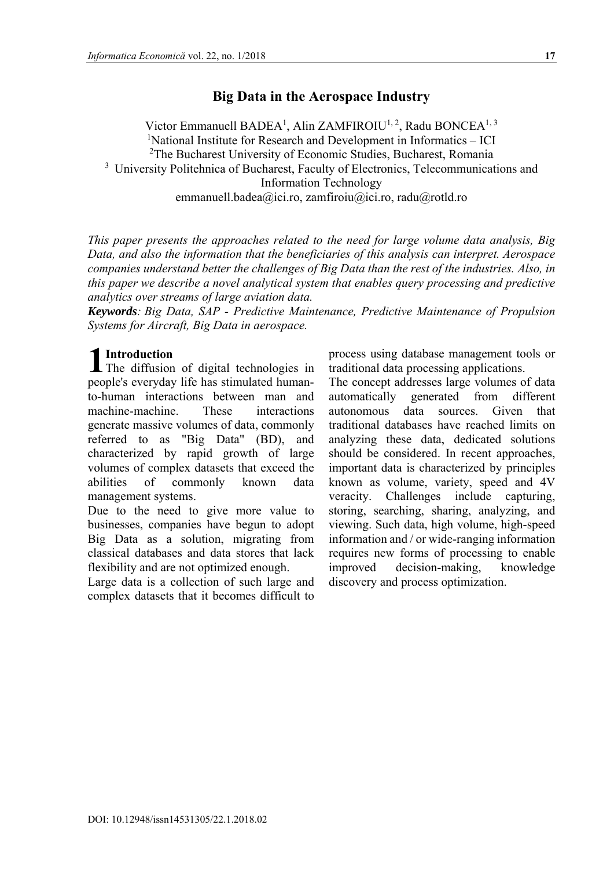# **Big Data in the Aerospace Industry**

Victor Emmanuell BADEA<sup>1</sup>, Alin ZAMFIROIU<sup>1, 2</sup>, Radu BONCEA<sup>1, 3</sup> <sup>1</sup>National Institute for Research and Development in Informatics - ICI <sup>2</sup>The Bucharest University of Economic Studies, Bucharest, Romania <sup>3</sup> University Politehnica of Bucharest, Faculty of Electronics, Telecommunications and Information Technology emmanuell.badea@ici.ro, zamfiroiu@ici.ro, radu@rotld.ro

*This paper presents the approaches related to the need for large volume data analysis, Big Data, and also the information that the beneficiaries of this analysis can interpret. Aerospace companies understand better the challenges of Big Data than the rest of the industries. Also, in this paper we describe a novel analytical system that enables query processing and predictive analytics over streams of large aviation data.* 

*Keywords: Big Data, SAP - Predictive Maintenance, Predictive Maintenance of Propulsion Systems for Aircraft, Big Data in aerospace.* 

# **Introduction**

**1** Introduction<br>The diffusion of digital technologies in people's everyday life has stimulated humanto-human interactions between man and machine-machine. These interactions generate massive volumes of data, commonly referred to as "Big Data" (BD), and characterized by rapid growth of large volumes of complex datasets that exceed the abilities of commonly known data management systems.

Due to the need to give more value to businesses, companies have begun to adopt Big Data as a solution, migrating from classical databases and data stores that lack flexibility and are not optimized enough.

Large data is a collection of such large and complex datasets that it becomes difficult to

process using database management tools or traditional data processing applications.

The concept addresses large volumes of data automatically generated from different autonomous data sources. Given that traditional databases have reached limits on analyzing these data, dedicated solutions should be considered. In recent approaches, important data is characterized by principles known as volume, variety, speed and 4V veracity. Challenges include capturing, storing, searching, sharing, analyzing, and viewing. Such data, high volume, high-speed information and / or wide-ranging information requires new forms of processing to enable improved decision-making, knowledge discovery and process optimization.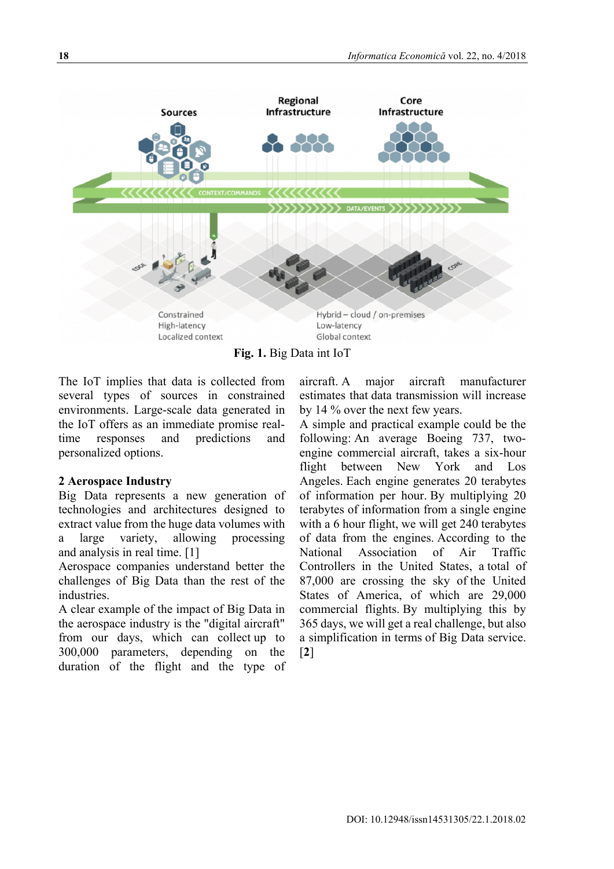

**Fig. 1.** Big Data int IoT

The IoT implies that data is collected from several types of sources in constrained environments. Large-scale data generated in the IoT offers as an immediate promise realtime responses and predictions and personalized options.

## **2 Aerospace Industry**

Big Data represents a new generation of technologies and architectures designed to extract value from the huge data volumes with a large variety, allowing processing and analysis in real time. [1]

Aerospace companies understand better the challenges of Big Data than the rest of the industries.

A clear example of the impact of Big Data in the aerospace industry is the "digital aircraft" from our days, which can collect up to 300,000 parameters, depending on the duration of the flight and the type of aircraft. A major aircraft manufacturer estimates that data transmission will increase by 14 % over the next few years.

A simple and practical example could be the following: An average Boeing 737, twoengine commercial aircraft, takes a six-hour flight between New York and Los Angeles. Each engine generates 20 terabytes of information per hour. By multiplying 20 terabytes of information from a single engine with a 6 hour flight, we will get 240 terabytes of data from the engines. According to the National Association of Air Traffic Controllers in the United States, a total of 87,000 are crossing the sky of the United States of America, of which are 29,000 commercial flights. By multiplying this by 365 days, we will get a real challenge, but also a simplification in terms of Big Data service. [**2**]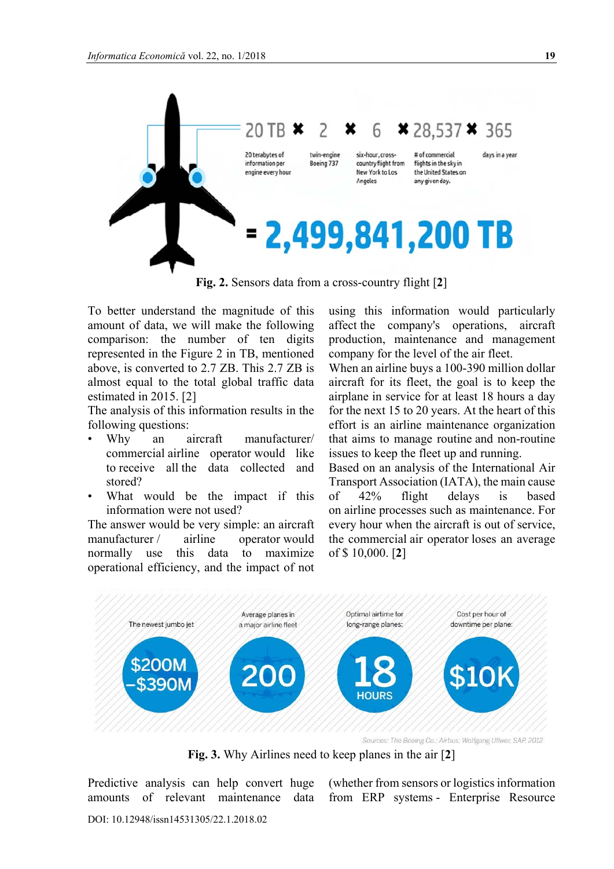

**Fig. 2.** Sensors data from a cross-country flight [**2**]

To better understand the magnitude of this amount of data, we will make the following comparison: the number of ten digits represented in the Figure 2 in TB, mentioned above, is converted to 2.7 ZB. This 2.7 ZB is almost equal to the total global traffic data estimated in 2015. [2]

The analysis of this information results in the following questions:

- Why an aircraft manufacturer/ commercial airline operator would like to receive all the data collected and stored?
- What would be the impact if this information were not used?

The answer would be very simple: an aircraft manufacturer / airline operator would normally use this data to maximize operational efficiency, and the impact of not

using this information would particularly affect the company's operations, aircraft production, maintenance and management company for the level of the air fleet.

When an airline buys a 100-390 million dollar aircraft for its fleet, the goal is to keep the airplane in service for at least 18 hours a day for the next 15 to 20 years. At the heart of this effort is an airline maintenance organization that aims to manage routine and non-routine issues to keep the fleet up and running.

Based on an analysis of the International Air Transport Association (IATA), the main cause of 42% flight delays is based on airline processes such as maintenance. For every hour when the aircraft is out of service, the commercial air operator loses an average of \$ 10,000. [**2**]



**Fig. 3.** Why Airlines need to keep planes in the air [**2**]

Predictive analysis can help convert huge amounts of relevant maintenance data

(whether from sensors or logistics information from ERP systems - Enterprise Resource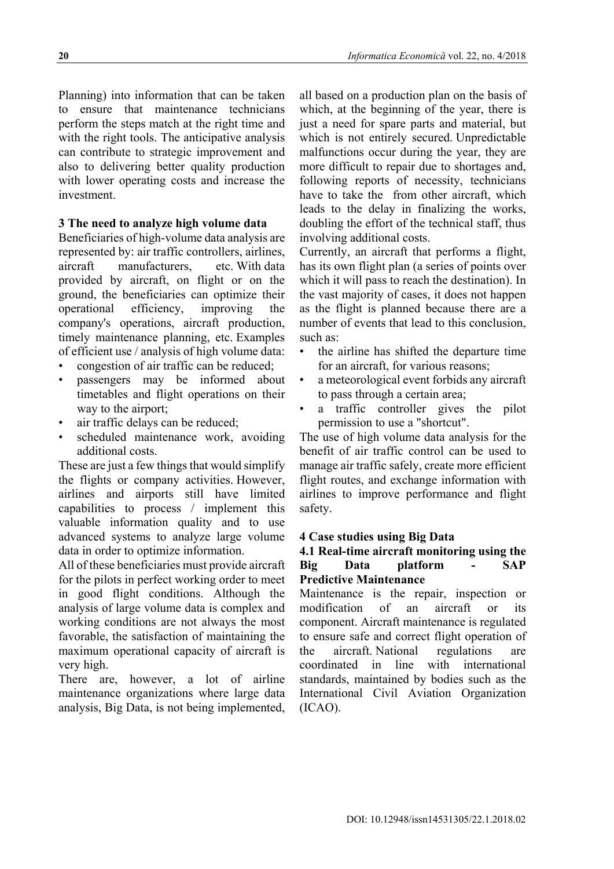Planning) into information that can be taken to ensure that maintenance technicians perform the steps match at the right time and with the right tools. The anticipative analysis can contribute to strategic improvement and also to delivering better quality production with lower operating costs and increase the investment.

## **3 The need to analyze high volume data**

Beneficiaries of high-volume data analysis are represented by: air traffic controllers, airlines, aircraft manufacturers, etc. With data provided by aircraft, on flight or on the ground, the beneficiaries can optimize their operational efficiency, improving the company's operations, aircraft production, timely maintenance planning, etc. Examples of efficient use / analysis of high volume data:

- congestion of air traffic can be reduced;
- passengers may be informed about timetables and flight operations on their way to the airport;
- air traffic delays can be reduced;
- scheduled maintenance work, avoiding additional costs.

These are just a few things that would simplify the flights or company activities. However, airlines and airports still have limited capabilities to process / implement this valuable information quality and to use advanced systems to analyze large volume data in order to optimize information.

All of these beneficiaries must provide aircraft for the pilots in perfect working order to meet in good flight conditions. Although the analysis of large volume data is complex and working conditions are not always the most favorable, the satisfaction of maintaining the maximum operational capacity of aircraft is very high.

There are, however, a lot of airline maintenance organizations where large data analysis, Big Data, is not being implemented,

all based on a production plan on the basis of which, at the beginning of the year, there is just a need for spare parts and material, but which is not entirely secured. Unpredictable malfunctions occur during the year, they are more difficult to repair due to shortages and, following reports of necessity, technicians have to take the from other aircraft, which leads to the delay in finalizing the works, doubling the effort of the technical staff, thus involving additional costs.

Currently, an aircraft that performs a flight, has its own flight plan (a series of points over which it will pass to reach the destination). In the vast majority of cases, it does not happen as the flight is planned because there are a number of events that lead to this conclusion, such as:

- the airline has shifted the departure time for an aircraft, for various reasons;
- a meteorological event forbids any aircraft to pass through a certain area;
- a traffic controller gives the pilot permission to use a "shortcut".

The use of high volume data analysis for the benefit of air traffic control can be used to manage air traffic safely, create more efficient flight routes, and exchange information with airlines to improve performance and flight safety.

## **4 Case studies using Big Data**

#### **4.1 Real-time aircraft monitoring using the Big Data platform - SAP Predictive Maintenance**

Maintenance is the repair, inspection or modification of an aircraft or its component. Aircraft maintenance is regulated to ensure safe and correct flight operation of the aircraft. National regulations are coordinated in line with international standards, maintained by bodies such as the International Civil Aviation Organization (ICAO).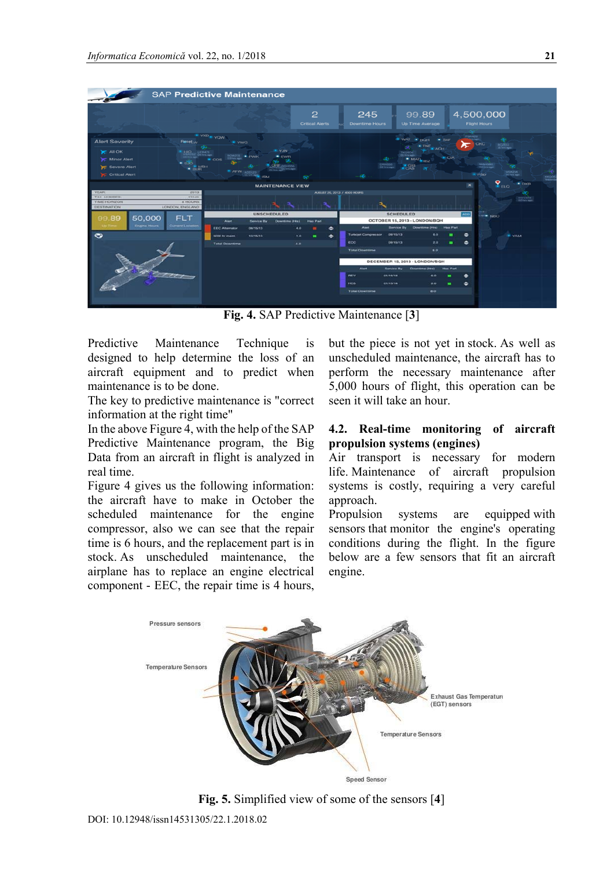

**Fig. 4.** SAP Predictive Maintenance [**3**]

Predictive Maintenance Technique is designed to help determine the loss of an aircraft equipment and to predict when maintenance is to be done.

The key to predictive maintenance is "correct information at the right time"

In the above Figure 4, with the help of the SAP Predictive Maintenance program, the Big Data from an aircraft in flight is analyzed in real time.

Figure 4 gives us the following information: the aircraft have to make in October the scheduled maintenance for the engine compressor, also we can see that the repair time is 6 hours, and the replacement part is in stock. As unscheduled maintenance, the airplane has to replace an engine electrical component - EEC, the repair time is 4 hours,

but the piece is not yet in stock. As well as unscheduled maintenance, the aircraft has to perform the necessary maintenance after 5,000 hours of flight, this operation can be seen it will take an hour.

### **4.2. Real-time monitoring of aircraft propulsion systems (engines)**

Air transport is necessary for modern life. Maintenance of aircraft propulsion systems is costly, requiring a very careful approach.

Propulsion systems are equipped with sensors that monitor the engine's operating conditions during the flight. In the figure below are a few sensors that fit an aircraft engine.



**Fig. 5.** Simplified view of some of the sensors [**4**]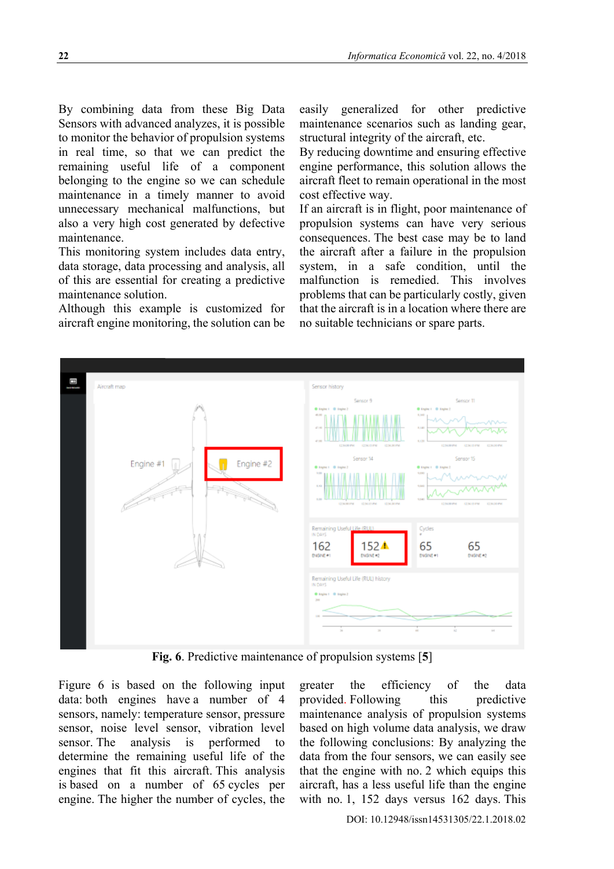By combining data from these Big Data Sensors with advanced analyzes, it is possible to monitor the behavior of propulsion systems in real time, so that we can predict the remaining useful life of a component belonging to the engine so we can schedule maintenance in a timely manner to avoid unnecessary mechanical malfunctions, but also a very high cost generated by defective maintenance.

This monitoring system includes data entry, data storage, data processing and analysis, all of this are essential for creating a predictive maintenance solution.

Although this example is customized for aircraft engine monitoring, the solution can be easily generalized for other predictive maintenance scenarios such as landing gear, structural integrity of the aircraft, etc.

By reducing downtime and ensuring effective engine performance, this solution allows the aircraft fleet to remain operational in the most cost effective way.

If an aircraft is in flight, poor maintenance of propulsion systems can have very serious consequences. The best case may be to land the aircraft after a failure in the propulsion system, in a safe condition, until the malfunction is remedied. This involves problems that can be particularly costly, given that the aircraft is in a location where there are no suitable technicians or spare parts.



**Fig. 6**. Predictive maintenance of propulsion systems [**5**]

Figure 6 is based on the following input data: both engines have a number of 4 sensors, namely: temperature sensor, pressure sensor, noise level sensor, vibration level sensor. The analysis is performed to determine the remaining useful life of the engines that fit this aircraft. This analysis is based on a number of 65 cycles per engine. The higher the number of cycles, the

greater the efficiency of the data provided. Following this predictive maintenance analysis of propulsion systems based on high volume data analysis, we draw the following conclusions: By analyzing the data from the four sensors, we can easily see that the engine with no. 2 which equips this aircraft, has a less useful life than the engine with no. 1, 152 days versus 162 days. This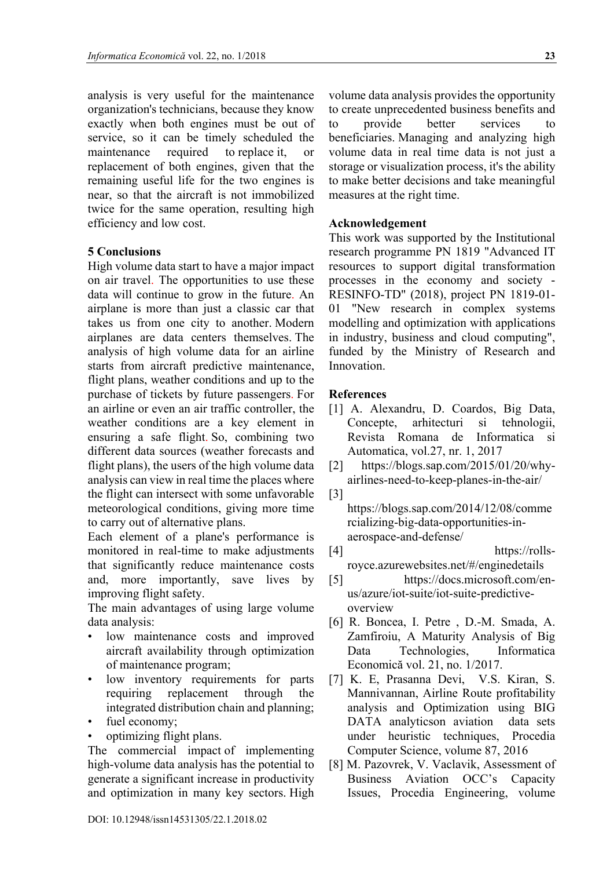analysis is very useful for the maintenance organization's technicians, because they know exactly when both engines must be out of service, so it can be timely scheduled the maintenance required to replace it, or replacement of both engines, given that the remaining useful life for the two engines is near, so that the aircraft is not immobilized twice for the same operation, resulting high efficiency and low cost.

### **5 Conclusions**

High volume data start to have a major impact on air travel. The opportunities to use these data will continue to grow in the future. An airplane is more than just a classic car that takes us from one city to another. Modern airplanes are data centers themselves. The analysis of high volume data for an airline starts from aircraft predictive maintenance, flight plans, weather conditions and up to the purchase of tickets by future passengers. For an airline or even an air traffic controller, the weather conditions are a key element in ensuring a safe flight. So, combining two different data sources (weather forecasts and flight plans), the users of the high volume data analysis can view in real time the places where the flight can intersect with some unfavorable meteorological conditions, giving more time to carry out of alternative plans.

Each element of a plane's performance is monitored in real-time to make adjustments that significantly reduce maintenance costs and, more importantly, save lives by improving flight safety.

The main advantages of using large volume data analysis:

- low maintenance costs and improved aircraft availability through optimization of maintenance program;
- low inventory requirements for parts requiring replacement through the integrated distribution chain and planning;
- fuel economy;
- optimizing flight plans.

The commercial impact of implementing high-volume data analysis has the potential to generate a significant increase in productivity and optimization in many key sectors. High

volume data analysis provides the opportunity to create unprecedented business benefits and to provide better services to beneficiaries. Managing and analyzing high volume data in real time data is not just a storage or visualization process, it's the ability to make better decisions and take meaningful measures at the right time.

### **Acknowledgement**

This work was supported by the Institutional research programme PN 1819 "Advanced IT resources to support digital transformation processes in the economy and society - RESINFO-TD" (2018), project PN 1819-01- 01 "New research in complex systems modelling and optimization with applications in industry, business and cloud computing", funded by the Ministry of Research and Innovation.

#### **References**

- [1] A. Alexandru, D. Coardos, Big Data, Concepte, arhitecturi si tehnologii, Revista Romana de Informatica si Automatica, vol.27, nr. 1, 2017
- [2] https://blogs.sap.com/2015/01/20/whyairlines-need-to-keep-planes-in-the-air/
- [3]

https://blogs.sap.com/2014/12/08/comme rcializing-big-data-opportunities-inaerospace-and-defense/

- $[4]$  https://rollsroyce.azurewebsites.net/#/enginedetails
- [5] https://docs.microsoft.com/enus/azure/iot-suite/iot-suite-predictiveoverview
- [6] R. Boncea, I. Petre , D.-M. Smada, A. Zamfiroiu, A Maturity Analysis of Big Data Technologies, Informatica Economică vol. 21, no. 1/2017.
- [7] K. E, Prasanna Devi, V.S. Kiran, S. Mannivannan, Airline Route profitability analysis and Optimization using BIG DATA analyticson aviation data sets under heuristic techniques, Procedia Computer Science, volume 87, 2016
- [8] M. Pazovrek, V. Vaclavik, Assessment of Business Aviation OCC's Capacity Issues, Procedia Engineering, volume